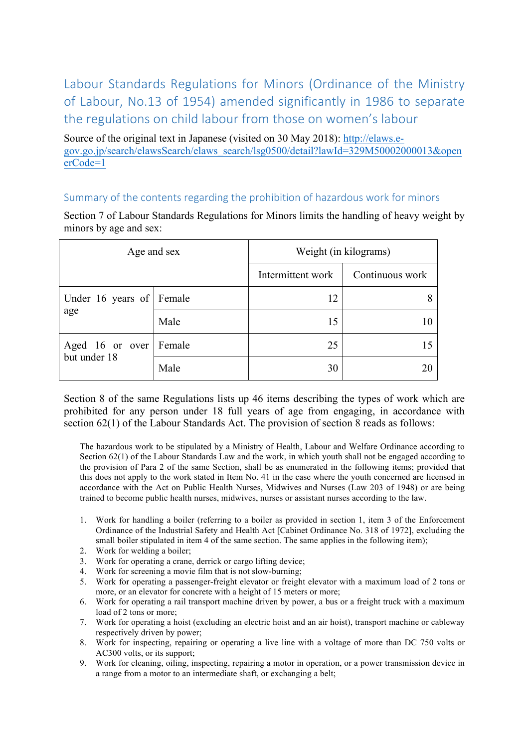Labour Standards Regulations for Minors (Ordinance of the Ministry of Labour, No.13 of 1954) amended significantly in 1986 to separate the regulations on child labour from those on women's labour

Source of the original text in Japanese (visited on 30 May 2018): http://elaws.egov.go.jp/search/elawsSearch/elaws\_search/lsg0500/detail?lawId=329M50002000013&open erCode=1

## Summary of the contents regarding the prohibition of hazardous work for minors

Section 7 of Labour Standards Regulations for Minors limits the handling of heavy weight by minors by age and sex:

| Age and sex                            |      | Weight (in kilograms) |                 |
|----------------------------------------|------|-----------------------|-----------------|
|                                        |      | Intermittent work     | Continuous work |
| Under 16 years of Female<br>age        |      | 12                    |                 |
|                                        | Male | 15                    | 10              |
| Aged 16 or over Female<br>but under 18 |      | 25                    | 15              |
|                                        | Male | 30                    |                 |

Section 8 of the same Regulations lists up 46 items describing the types of work which are prohibited for any person under 18 full years of age from engaging, in accordance with section 62(1) of the Labour Standards Act. The provision of section 8 reads as follows:

The hazardous work to be stipulated by a Ministry of Health, Labour and Welfare Ordinance according to Section 62(1) of the Labour Standards Law and the work, in which youth shall not be engaged according to the provision of Para 2 of the same Section, shall be as enumerated in the following items; provided that this does not apply to the work stated in Item No. 41 in the case where the youth concerned are licensed in accordance with the Act on Public Health Nurses, Midwives and Nurses (Law 203 of 1948) or are being trained to become public health nurses, midwives, nurses or assistant nurses according to the law.

- 1. Work for handling a boiler (referring to a boiler as provided in section 1, item 3 of the Enforcement Ordinance of the Industrial Safety and Health Act [Cabinet Ordinance No. 318 of 1972], excluding the small boiler stipulated in item 4 of the same section. The same applies in the following item);
- 2. Work for welding a boiler;
- 3. Work for operating a crane, derrick or cargo lifting device;
- 4. Work for screening a movie film that is not slow-burning;
- 5. Work for operating a passenger-freight elevator or freight elevator with a maximum load of 2 tons or more, or an elevator for concrete with a height of 15 meters or more;
- 6. Work for operating a rail transport machine driven by power, a bus or a freight truck with a maximum load of 2 tons or more;
- 7. Work for operating a hoist (excluding an electric hoist and an air hoist), transport machine or cableway respectively driven by power;
- 8. Work for inspecting, repairing or operating a live line with a voltage of more than DC 750 volts or AC300 volts, or its support;
- 9. Work for cleaning, oiling, inspecting, repairing a motor in operation, or a power transmission device in a range from a motor to an intermediate shaft, or exchanging a belt;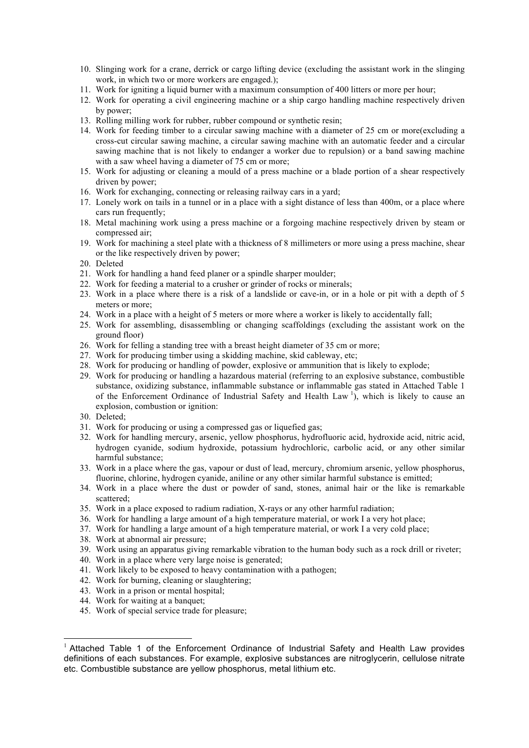- 10. Slinging work for a crane, derrick or cargo lifting device (excluding the assistant work in the slinging work, in which two or more workers are engaged.);
- 11. Work for igniting a liquid burner with a maximum consumption of 400 litters or more per hour;
- 12. Work for operating a civil engineering machine or a ship cargo handling machine respectively driven by power;
- 13. Rolling milling work for rubber, rubber compound or synthetic resin;
- 14. Work for feeding timber to a circular sawing machine with a diameter of 25 cm or more(excluding a cross-cut circular sawing machine, a circular sawing machine with an automatic feeder and a circular sawing machine that is not likely to endanger a worker due to repulsion) or a band sawing machine with a saw wheel having a diameter of 75 cm or more;
- 15. Work for adjusting or cleaning a mould of a press machine or a blade portion of a shear respectively driven by power;
- 16. Work for exchanging, connecting or releasing railway cars in a yard;
- 17. Lonely work on tails in a tunnel or in a place with a sight distance of less than 400m, or a place where cars run frequently:
- 18. Metal machining work using a press machine or a forgoing machine respectively driven by steam or compressed air;
- 19. Work for machining a steel plate with a thickness of 8 millimeters or more using a press machine, shear or the like respectively driven by power;
- 20. Deleted
- 21. Work for handling a hand feed planer or a spindle sharper moulder;
- 22. Work for feeding a material to a crusher or grinder of rocks or minerals;
- 23. Work in a place where there is a risk of a landslide or cave-in, or in a hole or pit with a depth of 5 meters or more;
- 24. Work in a place with a height of 5 meters or more where a worker is likely to accidentally fall;
- 25. Work for assembling, disassembling or changing scaffoldings (excluding the assistant work on the ground floor)
- 26. Work for felling a standing tree with a breast height diameter of 35 cm or more;
- 27. Work for producing timber using a skidding machine, skid cableway, etc;
- 28. Work for producing or handling of powder, explosive or ammunition that is likely to explode;
- 29. Work for producing or handling a hazardous material (referring to an explosive substance, combustible substance, oxidizing substance, inflammable substance or inflammable gas stated in Attached Table 1 of the Enforcement Ordinance of Industrial Safety and Health Law  $\frac{1}{1}$ , which is likely to cause an explosion, combustion or ignition:
- 30. Deleted;
- 31. Work for producing or using a compressed gas or liquefied gas;
- 32. Work for handling mercury, arsenic, yellow phosphorus, hydrofluoric acid, hydroxide acid, nitric acid, hydrogen cyanide, sodium hydroxide, potassium hydrochloric, carbolic acid, or any other similar harmful substance;
- 33. Work in a place where the gas, vapour or dust of lead, mercury, chromium arsenic, yellow phosphorus, fluorine, chlorine, hydrogen cyanide, aniline or any other similar harmful substance is emitted;
- 34. Work in a place where the dust or powder of sand, stones, animal hair or the like is remarkable scattered;
- 35. Work in a place exposed to radium radiation, X-rays or any other harmful radiation;
- 36. Work for handling a large amount of a high temperature material, or work I a very hot place;
- 37. Work for handling a large amount of a high temperature material, or work I a very cold place;
- 38. Work at abnormal air pressure;
- 39. Work using an apparatus giving remarkable vibration to the human body such as a rock drill or riveter;
- 40. Work in a place where very large noise is generated;
- 41. Work likely to be exposed to heavy contamination with a pathogen;
- 42. Work for burning, cleaning or slaughtering;
- 43. Work in a prison or mental hospital;
- 44. Work for waiting at a banquet;
- 45. Work of special service trade for pleasure;

 <sup>1</sup> Attached Table 1 of the Enforcement Ordinance of Industrial Safety and Health Law provides definitions of each substances. For example, explosive substances are nitroglycerin, cellulose nitrate etc. Combustible substance are yellow phosphorus, metal lithium etc.